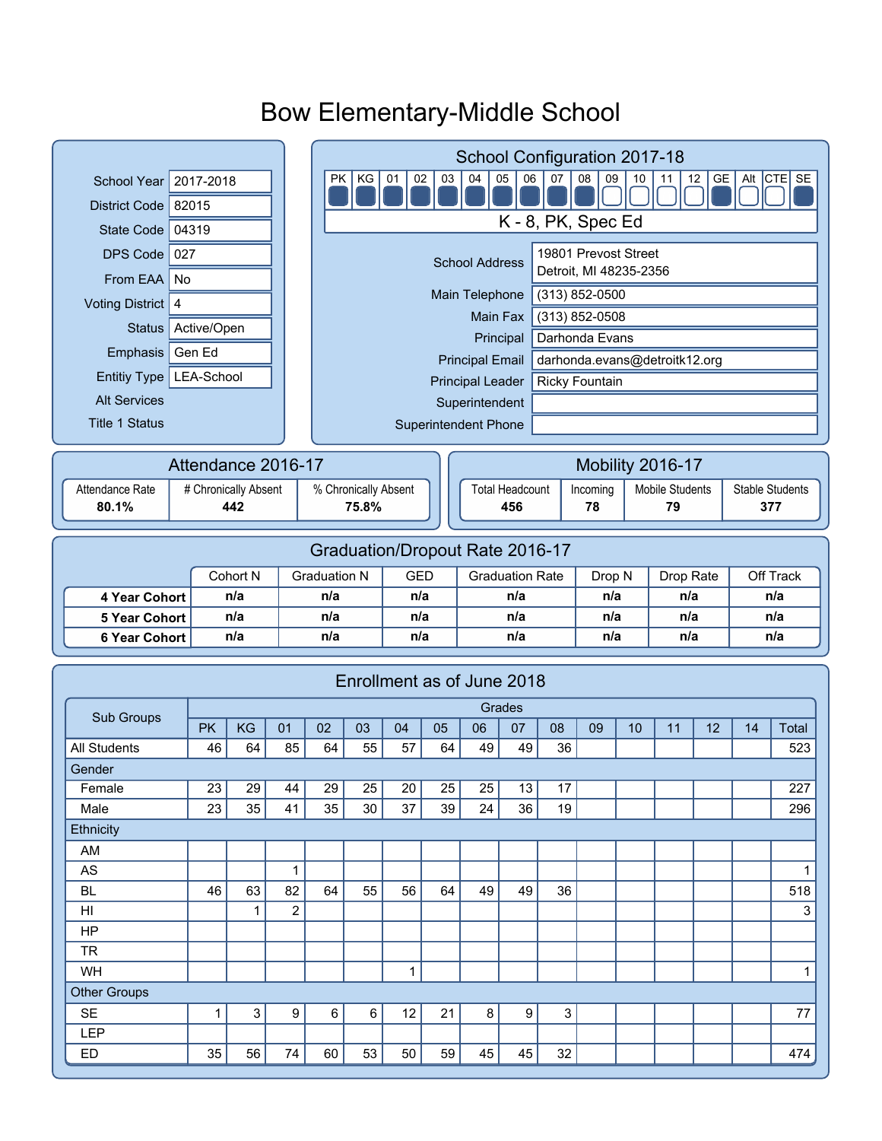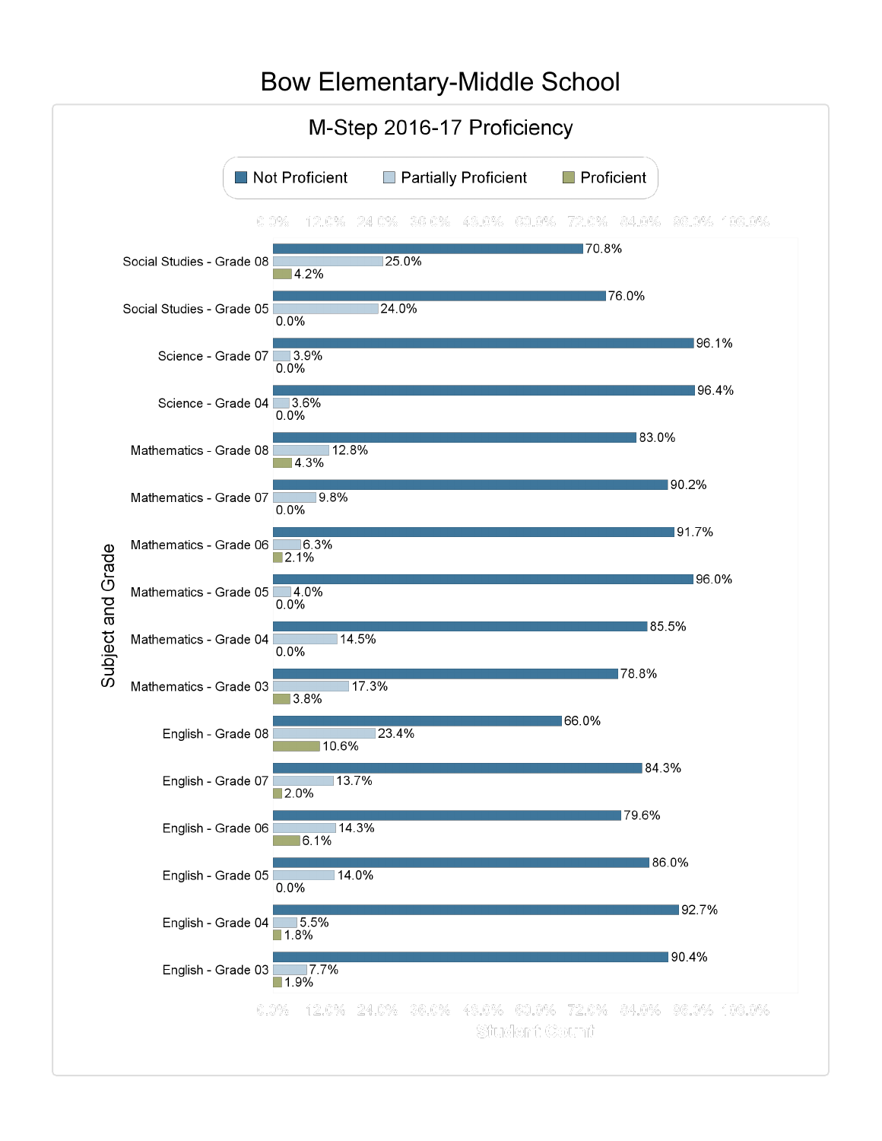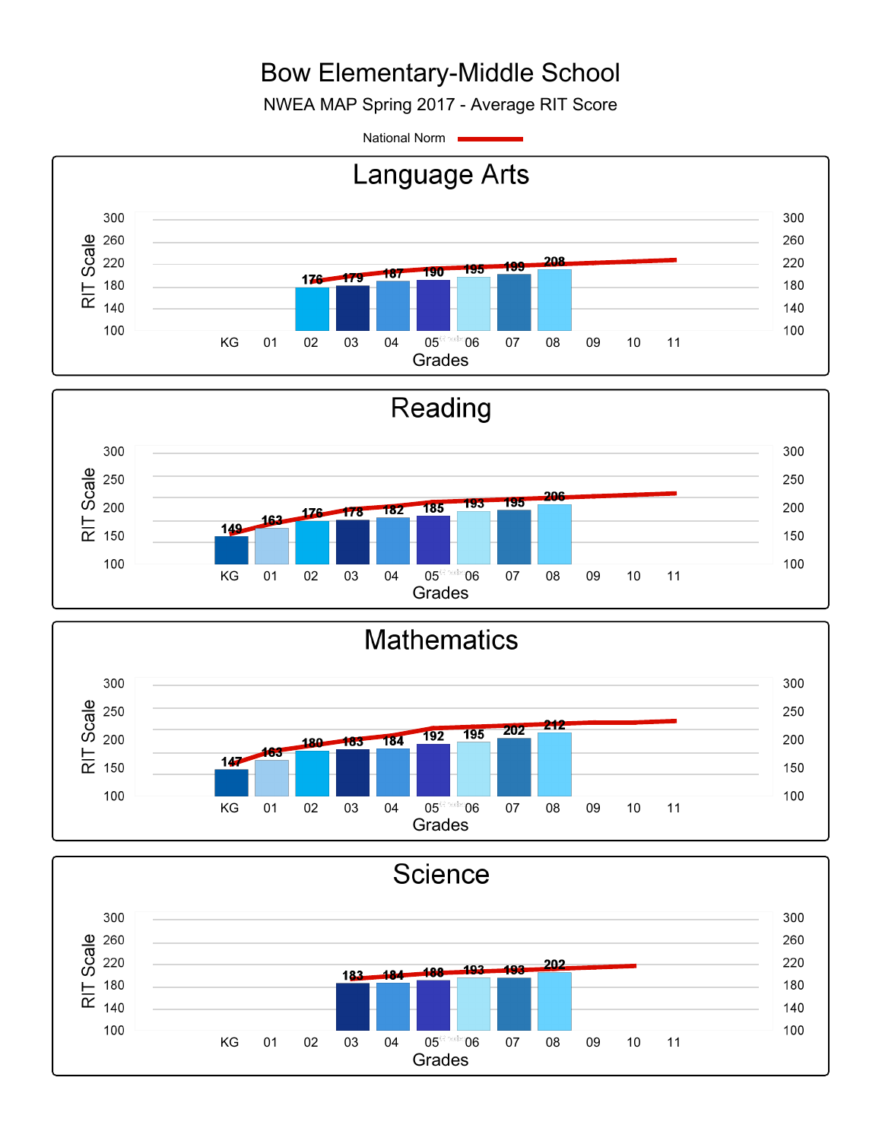NWEA MAP Spring 2017 - Average RIT Score

National Norm